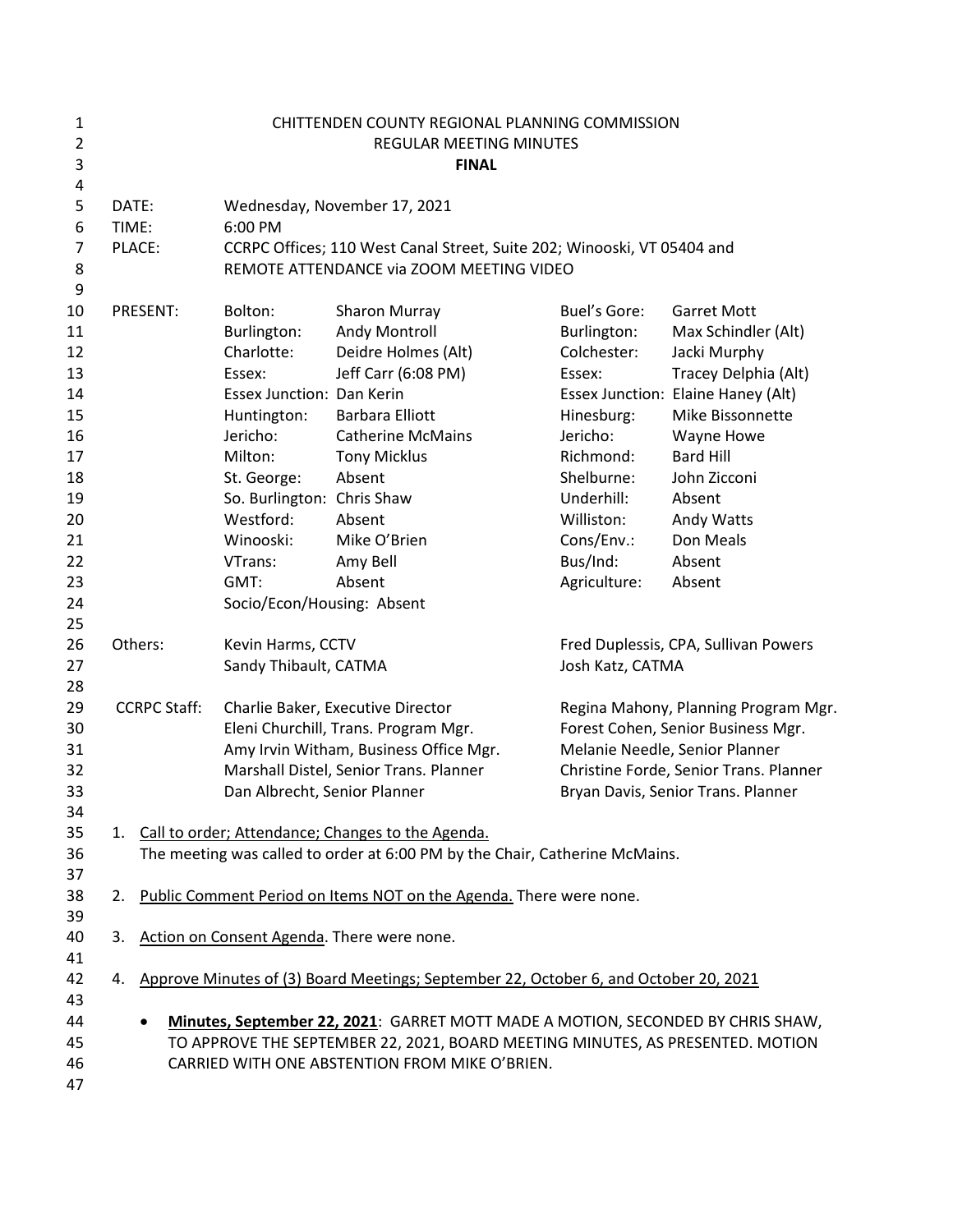| $\mathbf{1}$<br>$\overline{2}$ | CHITTENDEN COUNTY REGIONAL PLANNING COMMISSION<br>REGULAR MEETING MINUTES |                                                                                                                                                                                               |                                                                                                                                                                                                                     |                                                                                                                                                                                              |                                                                                   |  |
|--------------------------------|---------------------------------------------------------------------------|-----------------------------------------------------------------------------------------------------------------------------------------------------------------------------------------------|---------------------------------------------------------------------------------------------------------------------------------------------------------------------------------------------------------------------|----------------------------------------------------------------------------------------------------------------------------------------------------------------------------------------------|-----------------------------------------------------------------------------------|--|
| 3                              | <b>FINAL</b>                                                              |                                                                                                                                                                                               |                                                                                                                                                                                                                     |                                                                                                                                                                                              |                                                                                   |  |
| 4<br>5<br>6<br>$\overline{7}$  | DATE:<br>TIME:<br>6:00 PM<br>PLACE:                                       |                                                                                                                                                                                               | Wednesday, November 17, 2021<br>CCRPC Offices; 110 West Canal Street, Suite 202; Winooski, VT 05404 and                                                                                                             |                                                                                                                                                                                              |                                                                                   |  |
| 8<br>9                         |                                                                           |                                                                                                                                                                                               | REMOTE ATTENDANCE via ZOOM MEETING VIDEO                                                                                                                                                                            |                                                                                                                                                                                              |                                                                                   |  |
| 10<br>11<br>12<br>13           | PRESENT:                                                                  | Bolton:<br>Burlington:<br>Charlotte:<br>Essex:                                                                                                                                                | <b>Sharon Murray</b><br>Andy Montroll<br>Deidre Holmes (Alt)<br>Jeff Carr (6:08 PM)                                                                                                                                 | <b>Buel's Gore:</b><br>Burlington:<br>Colchester:<br>Essex:                                                                                                                                  | <b>Garret Mott</b><br>Max Schindler (Alt)<br>Jacki Murphy<br>Tracey Delphia (Alt) |  |
| 14<br>15                       |                                                                           | <b>Essex Junction: Dan Kerin</b><br>Huntington:                                                                                                                                               | <b>Barbara Elliott</b>                                                                                                                                                                                              | Hinesburg:                                                                                                                                                                                   | Essex Junction: Elaine Haney (Alt)<br>Mike Bissonnette                            |  |
| 16<br>17<br>18                 |                                                                           | Jericho:<br>Milton:<br>St. George:                                                                                                                                                            | <b>Catherine McMains</b><br><b>Tony Micklus</b><br>Absent                                                                                                                                                           | Jericho:<br>Richmond:<br>Shelburne:                                                                                                                                                          | Wayne Howe<br><b>Bard Hill</b><br>John Zicconi                                    |  |
| 19<br>20                       |                                                                           | So. Burlington: Chris Shaw<br>Westford:                                                                                                                                                       | Absent                                                                                                                                                                                                              | Underhill:<br>Williston:                                                                                                                                                                     | Absent<br>Andy Watts                                                              |  |
| 21<br>22<br>23                 |                                                                           | Winooski:<br>VTrans:<br>GMT:                                                                                                                                                                  | Mike O'Brien<br>Amy Bell<br>Absent                                                                                                                                                                                  | Cons/Env.:<br>Bus/Ind:<br>Agriculture:                                                                                                                                                       | Don Meals<br>Absent<br>Absent                                                     |  |
| 24<br>25                       |                                                                           | Socio/Econ/Housing: Absent                                                                                                                                                                    |                                                                                                                                                                                                                     |                                                                                                                                                                                              |                                                                                   |  |
| 26<br>27<br>28                 | Others:                                                                   | Kevin Harms, CCTV<br>Sandy Thibault, CATMA                                                                                                                                                    |                                                                                                                                                                                                                     | Fred Duplessis, CPA, Sullivan Powers<br>Josh Katz, CATMA                                                                                                                                     |                                                                                   |  |
| 29<br>30<br>31<br>32<br>33     | <b>CCRPC Staff:</b>                                                       | Charlie Baker, Executive Director<br>Eleni Churchill, Trans. Program Mgr.<br>Amy Irvin Witham, Business Office Mgr.<br>Marshall Distel, Senior Trans. Planner<br>Dan Albrecht, Senior Planner |                                                                                                                                                                                                                     | Regina Mahony, Planning Program Mgr.<br>Forest Cohen, Senior Business Mgr.<br>Melanie Needle, Senior Planner<br>Christine Forde, Senior Trans. Planner<br>Bryan Davis, Senior Trans. Planner |                                                                                   |  |
| 34<br>35<br>36<br>37           |                                                                           |                                                                                                                                                                                               | 1. Call to order; Attendance; Changes to the Agenda.<br>The meeting was called to order at 6:00 PM by the Chair, Catherine McMains.                                                                                 |                                                                                                                                                                                              |                                                                                   |  |
| 38<br>39                       | 2.                                                                        |                                                                                                                                                                                               | Public Comment Period on Items NOT on the Agenda. There were none.                                                                                                                                                  |                                                                                                                                                                                              |                                                                                   |  |
| 40<br>41                       | 3.                                                                        |                                                                                                                                                                                               | Action on Consent Agenda. There were none.                                                                                                                                                                          |                                                                                                                                                                                              |                                                                                   |  |
| 42<br>43                       | 4.                                                                        |                                                                                                                                                                                               | Approve Minutes of (3) Board Meetings; September 22, October 6, and October 20, 2021                                                                                                                                |                                                                                                                                                                                              |                                                                                   |  |
| 44<br>45<br>46<br>47           | $\bullet$                                                                 |                                                                                                                                                                                               | Minutes, September 22, 2021: GARRET MOTT MADE A MOTION, SECONDED BY CHRIS SHAW,<br>TO APPROVE THE SEPTEMBER 22, 2021, BOARD MEETING MINUTES, AS PRESENTED. MOTION<br>CARRIED WITH ONE ABSTENTION FROM MIKE O'BRIEN. |                                                                                                                                                                                              |                                                                                   |  |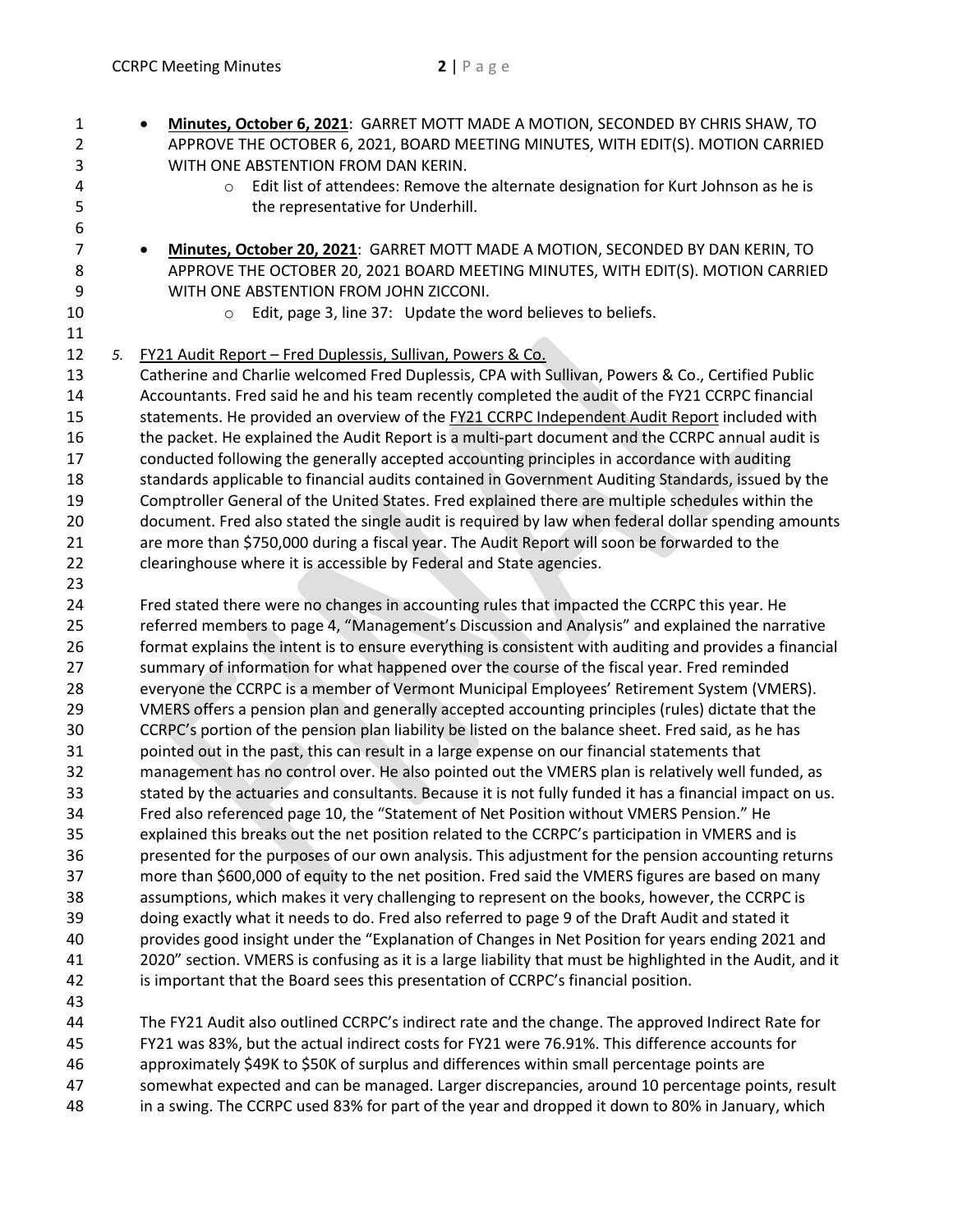1 **Minutes, October 6, 2021**: GARRET MOTT MADE A MOTION, SECONDED BY CHRIS SHAW, TO 2 APPROVE THE OCTOBER 6, 2021, BOARD MEETING MINUTES, WITH EDIT(S). MOTION CARRIED 3 WITH ONE ABSTENTION FROM DAN KERIN.

- 4 o Edit list of attendees: Remove the alternate designation for Kurt Johnson as he is 5 the representative for Underhill.
- 7 **Minutes, October 20, 2021**: GARRET MOTT MADE A MOTION, SECONDED BY DAN KERIN, TO 8 APPROVE THE OCTOBER 20, 2021 BOARD MEETING MINUTES, WITH EDIT(S). MOTION CARRIED 9 WITH ONE ABSTENTION FROM JOHN ZICCONI.
- 11

23

6

10 **b Edit, page 3, line 37:** Update the word believes to beliefs.

12 *5.* FY21 Audit Report – Fred Duplessis, Sullivan, Powers & Co.

13 Catherine and Charlie welcomed Fred Duplessis, CPA with Sullivan, Powers & Co., Certified Public 14 Accountants. Fred said he and his team recently completed the audit of the FY21 CCRPC financial 15 statements. He provided an overview of the FY21 CCRPC Independent Audit Report included with 16 the packet. He explained the Audit Report is a multi-part document and the CCRPC annual audit is 17 conducted following the generally accepted accounting principles in accordance with auditing 18 standards applicable to financial audits contained in Government Auditing Standards, issued by the 19 Comptroller General of the United States. Fred explained there are multiple schedules within the 20 document. Fred also stated the single audit is required by law when federal dollar spending amounts 21 are more than \$750,000 during a fiscal year. The Audit Report will soon be forwarded to the 22 clearinghouse where it is accessible by Federal and State agencies.

24 Fred stated there were no changes in accounting rules that impacted the CCRPC this year. He 25 referred members to page 4, "Management's Discussion and Analysis" and explained the narrative 26 format explains the intent is to ensure everything is consistent with auditing and provides a financial 27 summary of information for what happened over the course of the fiscal year. Fred reminded 28 everyone the CCRPC is a member of Vermont Municipal Employees' Retirement System (VMERS). 29 VMERS offers a pension plan and generally accepted accounting principles (rules) dictate that the 30 CCRPC's portion of the pension plan liability be listed on the balance sheet. Fred said, as he has 31 pointed out in the past, this can result in a large expense on our financial statements that 32 management has no control over. He also pointed out the VMERS plan is relatively well funded, as 33 stated by the actuaries and consultants. Because it is not fully funded it has a financial impact on us. 34 Fred also referenced page 10, the "Statement of Net Position without VMERS Pension." He 35 explained this breaks out the net position related to the CCRPC's participation in VMERS and is 36 presented for the purposes of our own analysis. This adjustment for the pension accounting returns 37 more than \$600,000 of equity to the net position. Fred said the VMERS figures are based on many 38 assumptions, which makes it very challenging to represent on the books, however, the CCRPC is 39 doing exactly what it needs to do. Fred also referred to page 9 of the Draft Audit and stated it 40 provides good insight under the "Explanation of Changes in Net Position for years ending 2021 and 41 2020" section. VMERS is confusing as it is a large liability that must be highlighted in the Audit, and it 42 is important that the Board sees this presentation of CCRPC's financial position.

43

44 The FY21 Audit also outlined CCRPC's indirect rate and the change. The approved Indirect Rate for 45 FY21 was 83%, but the actual indirect costs for FY21 were 76.91%. This difference accounts for 46 approximately \$49K to \$50K of surplus and differences within small percentage points are 47 somewhat expected and can be managed. Larger discrepancies, around 10 percentage points, result 48 in a swing. The CCRPC used 83% for part of the year and dropped it down to 80% in January, which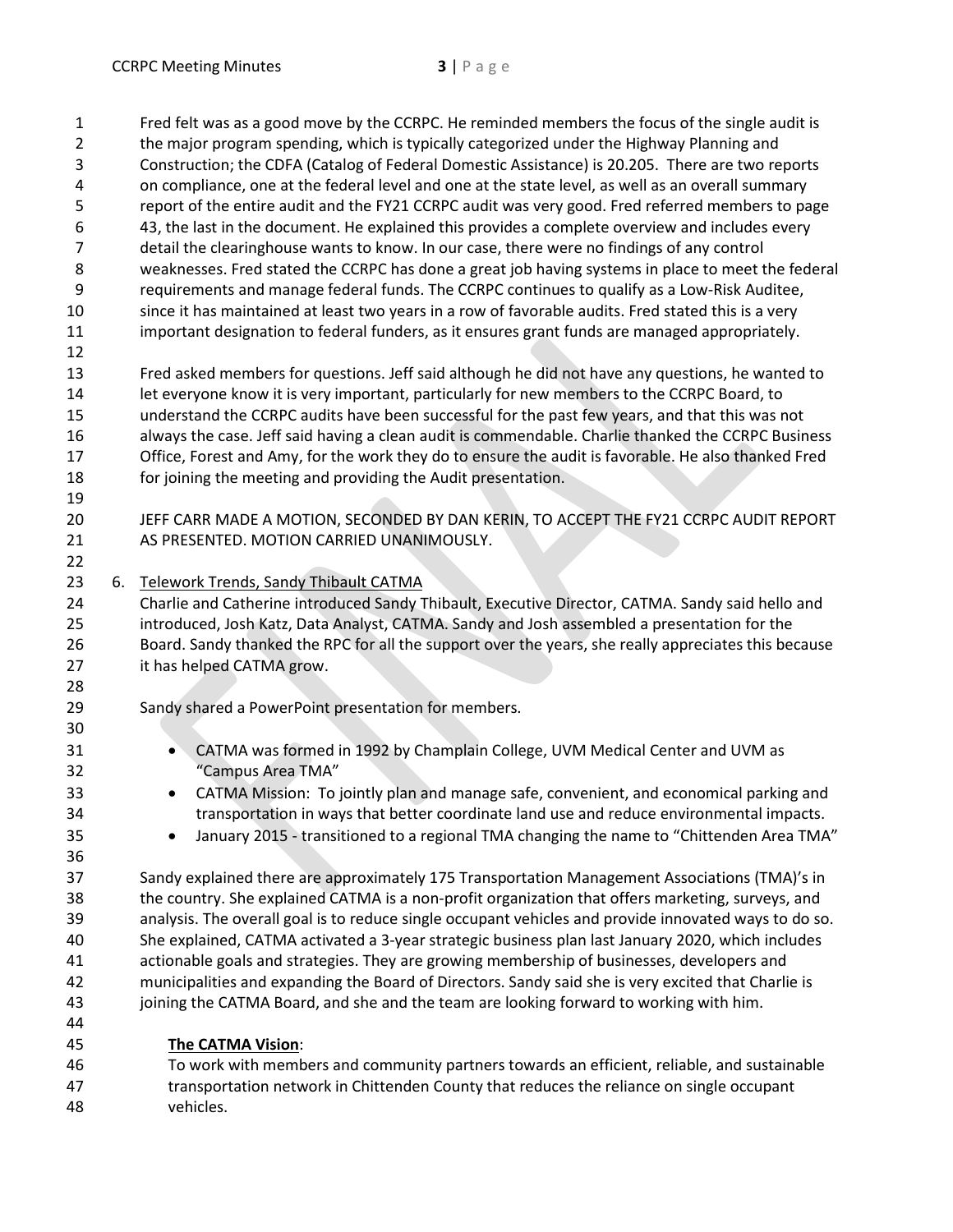1 Fred felt was as a good move by the CCRPC. He reminded members the focus of the single audit is 2 the major program spending, which is typically categorized under the Highway Planning and 3 Construction; the CDFA (Catalog of Federal Domestic Assistance) is 20.205. There are two reports 4 on compliance, one at the federal level and one at the state level, as well as an overall summary 5 report of the entire audit and the FY21 CCRPC audit was very good. Fred referred members to page 6 43, the last in the document. He explained this provides a complete overview and includes every 7 detail the clearinghouse wants to know. In our case, there were no findings of any control 8 weaknesses. Fred stated the CCRPC has done a great job having systems in place to meet the federal 9 requirements and manage federal funds. The CCRPC continues to qualify as a Low-Risk Auditee, 10 since it has maintained at least two years in a row of favorable audits. Fred stated this is a very 11 important designation to federal funders, as it ensures grant funds are managed appropriately. 12 13 Fred asked members for questions. Jeff said although he did not have any questions, he wanted to 14 let everyone know it is very important, particularly for new members to the CCRPC Board, to 15 understand the CCRPC audits have been successful for the past few years, and that this was not 16 always the case. Jeff said having a clean audit is commendable. Charlie thanked the CCRPC Business 17 Office, Forest and Amy, for the work they do to ensure the audit is favorable. He also thanked Fred 18 for joining the meeting and providing the Audit presentation. 19 20 JEFF CARR MADE A MOTION, SECONDED BY DAN KERIN, TO ACCEPT THE FY21 CCRPC AUDIT REPORT 21 AS PRESENTED. MOTION CARRIED UNANIMOUSLY. 22 23 6. Telework Trends, Sandy Thibault CATMA 24 Charlie and Catherine introduced Sandy Thibault, Executive Director, CATMA. Sandy said hello and 25 introduced, Josh Katz, Data Analyst, CATMA. Sandy and Josh assembled a presentation for the 26 Board. Sandy thanked the RPC for all the support over the years, she really appreciates this because 27 it has helped CATMA grow. 28 29 Sandy shared a PowerPoint presentation for members. 30 31 CATMA was formed in 1992 by Champlain College, UVM Medical Center and UVM as 32 "Campus Area TMA" 33 CATMA Mission: To jointly plan and manage safe, convenient, and economical parking and 34 transportation in ways that better coordinate land use and reduce environmental impacts. 35 **IDED** January 2015 - transitioned to a regional TMA changing the name to "Chittenden Area TMA" 36 37 Sandy explained there are approximately 175 Transportation Management Associations (TMA)'s in 38 the country. She explained CATMA is a non-profit organization that offers marketing, surveys, and 39 analysis. The overall goal is to reduce single occupant vehicles and provide innovated ways to do so. 40 She explained, CATMA activated a 3-year strategic business plan last January 2020, which includes 41 actionable goals and strategies. They are growing membership of businesses, developers and

- 42 municipalities and expanding the Board of Directors. Sandy said she is very excited that Charlie is 43 joining the CATMA Board, and she and the team are looking forward to working with him.
- 45 **The CATMA Vision**:

44

46 To work with members and community partners towards an efficient, reliable, and sustainable 47 transportation network in Chittenden County that reduces the reliance on single occupant 48 vehicles.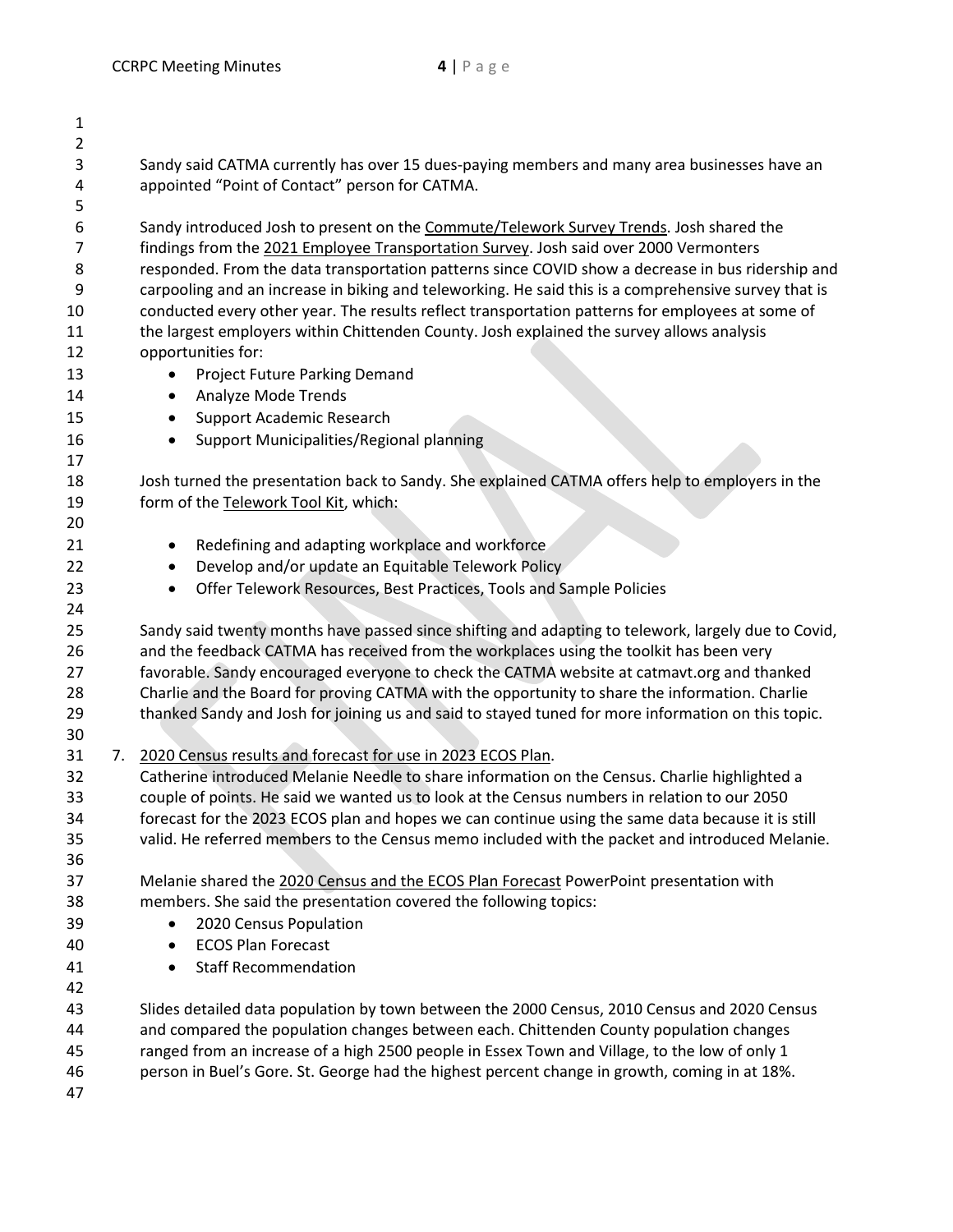| $\overline{2}$<br>3<br>4<br>5<br>6<br>$\overline{7}$<br>8<br>9<br>10<br>11<br>12<br>13<br>14<br>15<br>16<br>17<br>18<br>19<br>20<br>21<br>22<br>23 | Sandy said CATMA currently has over 15 dues-paying members and many area businesses have an<br>appointed "Point of Contact" person for CATMA.<br>Sandy introduced Josh to present on the Commute/Telework Survey Trends. Josh shared the<br>findings from the 2021 Employee Transportation Survey. Josh said over 2000 Vermonters<br>responded. From the data transportation patterns since COVID show a decrease in bus ridership and<br>carpooling and an increase in biking and teleworking. He said this is a comprehensive survey that is<br>conducted every other year. The results reflect transportation patterns for employees at some of<br>the largest employers within Chittenden County. Josh explained the survey allows analysis<br>opportunities for:<br>Project Future Parking Demand<br>$\bullet$<br>Analyze Mode Trends<br>٠<br>Support Academic Research<br>$\bullet$<br>Support Municipalities/Regional planning<br>$\bullet$<br>Josh turned the presentation back to Sandy. She explained CATMA offers help to employers in the<br>form of the Telework Tool Kit, which:<br>Redefining and adapting workplace and workforce<br>٠ |
|----------------------------------------------------------------------------------------------------------------------------------------------------|--------------------------------------------------------------------------------------------------------------------------------------------------------------------------------------------------------------------------------------------------------------------------------------------------------------------------------------------------------------------------------------------------------------------------------------------------------------------------------------------------------------------------------------------------------------------------------------------------------------------------------------------------------------------------------------------------------------------------------------------------------------------------------------------------------------------------------------------------------------------------------------------------------------------------------------------------------------------------------------------------------------------------------------------------------------------------------------------------------------------------------------------------------|
|                                                                                                                                                    |                                                                                                                                                                                                                                                                                                                                                                                                                                                                                                                                                                                                                                                                                                                                                                                                                                                                                                                                                                                                                                                                                                                                                        |
|                                                                                                                                                    |                                                                                                                                                                                                                                                                                                                                                                                                                                                                                                                                                                                                                                                                                                                                                                                                                                                                                                                                                                                                                                                                                                                                                        |
|                                                                                                                                                    |                                                                                                                                                                                                                                                                                                                                                                                                                                                                                                                                                                                                                                                                                                                                                                                                                                                                                                                                                                                                                                                                                                                                                        |
|                                                                                                                                                    |                                                                                                                                                                                                                                                                                                                                                                                                                                                                                                                                                                                                                                                                                                                                                                                                                                                                                                                                                                                                                                                                                                                                                        |
|                                                                                                                                                    |                                                                                                                                                                                                                                                                                                                                                                                                                                                                                                                                                                                                                                                                                                                                                                                                                                                                                                                                                                                                                                                                                                                                                        |
|                                                                                                                                                    |                                                                                                                                                                                                                                                                                                                                                                                                                                                                                                                                                                                                                                                                                                                                                                                                                                                                                                                                                                                                                                                                                                                                                        |
|                                                                                                                                                    |                                                                                                                                                                                                                                                                                                                                                                                                                                                                                                                                                                                                                                                                                                                                                                                                                                                                                                                                                                                                                                                                                                                                                        |
|                                                                                                                                                    |                                                                                                                                                                                                                                                                                                                                                                                                                                                                                                                                                                                                                                                                                                                                                                                                                                                                                                                                                                                                                                                                                                                                                        |
|                                                                                                                                                    |                                                                                                                                                                                                                                                                                                                                                                                                                                                                                                                                                                                                                                                                                                                                                                                                                                                                                                                                                                                                                                                                                                                                                        |
|                                                                                                                                                    |                                                                                                                                                                                                                                                                                                                                                                                                                                                                                                                                                                                                                                                                                                                                                                                                                                                                                                                                                                                                                                                                                                                                                        |
|                                                                                                                                                    |                                                                                                                                                                                                                                                                                                                                                                                                                                                                                                                                                                                                                                                                                                                                                                                                                                                                                                                                                                                                                                                                                                                                                        |
|                                                                                                                                                    |                                                                                                                                                                                                                                                                                                                                                                                                                                                                                                                                                                                                                                                                                                                                                                                                                                                                                                                                                                                                                                                                                                                                                        |
|                                                                                                                                                    |                                                                                                                                                                                                                                                                                                                                                                                                                                                                                                                                                                                                                                                                                                                                                                                                                                                                                                                                                                                                                                                                                                                                                        |
|                                                                                                                                                    |                                                                                                                                                                                                                                                                                                                                                                                                                                                                                                                                                                                                                                                                                                                                                                                                                                                                                                                                                                                                                                                                                                                                                        |
|                                                                                                                                                    |                                                                                                                                                                                                                                                                                                                                                                                                                                                                                                                                                                                                                                                                                                                                                                                                                                                                                                                                                                                                                                                                                                                                                        |
|                                                                                                                                                    |                                                                                                                                                                                                                                                                                                                                                                                                                                                                                                                                                                                                                                                                                                                                                                                                                                                                                                                                                                                                                                                                                                                                                        |
|                                                                                                                                                    |                                                                                                                                                                                                                                                                                                                                                                                                                                                                                                                                                                                                                                                                                                                                                                                                                                                                                                                                                                                                                                                                                                                                                        |
|                                                                                                                                                    |                                                                                                                                                                                                                                                                                                                                                                                                                                                                                                                                                                                                                                                                                                                                                                                                                                                                                                                                                                                                                                                                                                                                                        |
|                                                                                                                                                    |                                                                                                                                                                                                                                                                                                                                                                                                                                                                                                                                                                                                                                                                                                                                                                                                                                                                                                                                                                                                                                                                                                                                                        |
|                                                                                                                                                    |                                                                                                                                                                                                                                                                                                                                                                                                                                                                                                                                                                                                                                                                                                                                                                                                                                                                                                                                                                                                                                                                                                                                                        |
|                                                                                                                                                    | Develop and/or update an Equitable Telework Policy<br>٠                                                                                                                                                                                                                                                                                                                                                                                                                                                                                                                                                                                                                                                                                                                                                                                                                                                                                                                                                                                                                                                                                                |
|                                                                                                                                                    | Offer Telework Resources, Best Practices, Tools and Sample Policies<br>$\bullet$                                                                                                                                                                                                                                                                                                                                                                                                                                                                                                                                                                                                                                                                                                                                                                                                                                                                                                                                                                                                                                                                       |
| 24                                                                                                                                                 |                                                                                                                                                                                                                                                                                                                                                                                                                                                                                                                                                                                                                                                                                                                                                                                                                                                                                                                                                                                                                                                                                                                                                        |
| 25                                                                                                                                                 | Sandy said twenty months have passed since shifting and adapting to telework, largely due to Covid,                                                                                                                                                                                                                                                                                                                                                                                                                                                                                                                                                                                                                                                                                                                                                                                                                                                                                                                                                                                                                                                    |
| 26                                                                                                                                                 | and the feedback CATMA has received from the workplaces using the toolkit has been very                                                                                                                                                                                                                                                                                                                                                                                                                                                                                                                                                                                                                                                                                                                                                                                                                                                                                                                                                                                                                                                                |
| 27                                                                                                                                                 | favorable. Sandy encouraged everyone to check the CATMA website at catmavt.org and thanked                                                                                                                                                                                                                                                                                                                                                                                                                                                                                                                                                                                                                                                                                                                                                                                                                                                                                                                                                                                                                                                             |
| 28                                                                                                                                                 | Charlie and the Board for proving CATMA with the opportunity to share the information. Charlie                                                                                                                                                                                                                                                                                                                                                                                                                                                                                                                                                                                                                                                                                                                                                                                                                                                                                                                                                                                                                                                         |
| 29                                                                                                                                                 | thanked Sandy and Josh for joining us and said to stayed tuned for more information on this topic.                                                                                                                                                                                                                                                                                                                                                                                                                                                                                                                                                                                                                                                                                                                                                                                                                                                                                                                                                                                                                                                     |
| 30                                                                                                                                                 |                                                                                                                                                                                                                                                                                                                                                                                                                                                                                                                                                                                                                                                                                                                                                                                                                                                                                                                                                                                                                                                                                                                                                        |
| 31<br>7.                                                                                                                                           | 2020 Census results and forecast for use in 2023 ECOS Plan.                                                                                                                                                                                                                                                                                                                                                                                                                                                                                                                                                                                                                                                                                                                                                                                                                                                                                                                                                                                                                                                                                            |
| 32                                                                                                                                                 | Catherine introduced Melanie Needle to share information on the Census. Charlie highlighted a                                                                                                                                                                                                                                                                                                                                                                                                                                                                                                                                                                                                                                                                                                                                                                                                                                                                                                                                                                                                                                                          |
| 33                                                                                                                                                 | couple of points. He said we wanted us to look at the Census numbers in relation to our 2050                                                                                                                                                                                                                                                                                                                                                                                                                                                                                                                                                                                                                                                                                                                                                                                                                                                                                                                                                                                                                                                           |
| 34                                                                                                                                                 | forecast for the 2023 ECOS plan and hopes we can continue using the same data because it is still                                                                                                                                                                                                                                                                                                                                                                                                                                                                                                                                                                                                                                                                                                                                                                                                                                                                                                                                                                                                                                                      |
| 35                                                                                                                                                 | valid. He referred members to the Census memo included with the packet and introduced Melanie.                                                                                                                                                                                                                                                                                                                                                                                                                                                                                                                                                                                                                                                                                                                                                                                                                                                                                                                                                                                                                                                         |
| 36                                                                                                                                                 |                                                                                                                                                                                                                                                                                                                                                                                                                                                                                                                                                                                                                                                                                                                                                                                                                                                                                                                                                                                                                                                                                                                                                        |
| 37                                                                                                                                                 | Melanie shared the 2020 Census and the ECOS Plan Forecast PowerPoint presentation with                                                                                                                                                                                                                                                                                                                                                                                                                                                                                                                                                                                                                                                                                                                                                                                                                                                                                                                                                                                                                                                                 |
| 38                                                                                                                                                 | members. She said the presentation covered the following topics:                                                                                                                                                                                                                                                                                                                                                                                                                                                                                                                                                                                                                                                                                                                                                                                                                                                                                                                                                                                                                                                                                       |
| 39                                                                                                                                                 | 2020 Census Population<br>$\bullet$                                                                                                                                                                                                                                                                                                                                                                                                                                                                                                                                                                                                                                                                                                                                                                                                                                                                                                                                                                                                                                                                                                                    |
| 40                                                                                                                                                 | <b>ECOS Plan Forecast</b><br>$\bullet$                                                                                                                                                                                                                                                                                                                                                                                                                                                                                                                                                                                                                                                                                                                                                                                                                                                                                                                                                                                                                                                                                                                 |
| 41                                                                                                                                                 | <b>Staff Recommendation</b><br>$\bullet$                                                                                                                                                                                                                                                                                                                                                                                                                                                                                                                                                                                                                                                                                                                                                                                                                                                                                                                                                                                                                                                                                                               |
| 42                                                                                                                                                 |                                                                                                                                                                                                                                                                                                                                                                                                                                                                                                                                                                                                                                                                                                                                                                                                                                                                                                                                                                                                                                                                                                                                                        |
| 43                                                                                                                                                 | Slides detailed data population by town between the 2000 Census, 2010 Census and 2020 Census                                                                                                                                                                                                                                                                                                                                                                                                                                                                                                                                                                                                                                                                                                                                                                                                                                                                                                                                                                                                                                                           |
| 44                                                                                                                                                 | and compared the population changes between each. Chittenden County population changes                                                                                                                                                                                                                                                                                                                                                                                                                                                                                                                                                                                                                                                                                                                                                                                                                                                                                                                                                                                                                                                                 |
| 45                                                                                                                                                 | ranged from an increase of a high 2500 people in Essex Town and Village, to the low of only 1                                                                                                                                                                                                                                                                                                                                                                                                                                                                                                                                                                                                                                                                                                                                                                                                                                                                                                                                                                                                                                                          |
| 46                                                                                                                                                 |                                                                                                                                                                                                                                                                                                                                                                                                                                                                                                                                                                                                                                                                                                                                                                                                                                                                                                                                                                                                                                                                                                                                                        |
| 47                                                                                                                                                 | person in Buel's Gore. St. George had the highest percent change in growth, coming in at 18%.                                                                                                                                                                                                                                                                                                                                                                                                                                                                                                                                                                                                                                                                                                                                                                                                                                                                                                                                                                                                                                                          |
|                                                                                                                                                    |                                                                                                                                                                                                                                                                                                                                                                                                                                                                                                                                                                                                                                                                                                                                                                                                                                                                                                                                                                                                                                                                                                                                                        |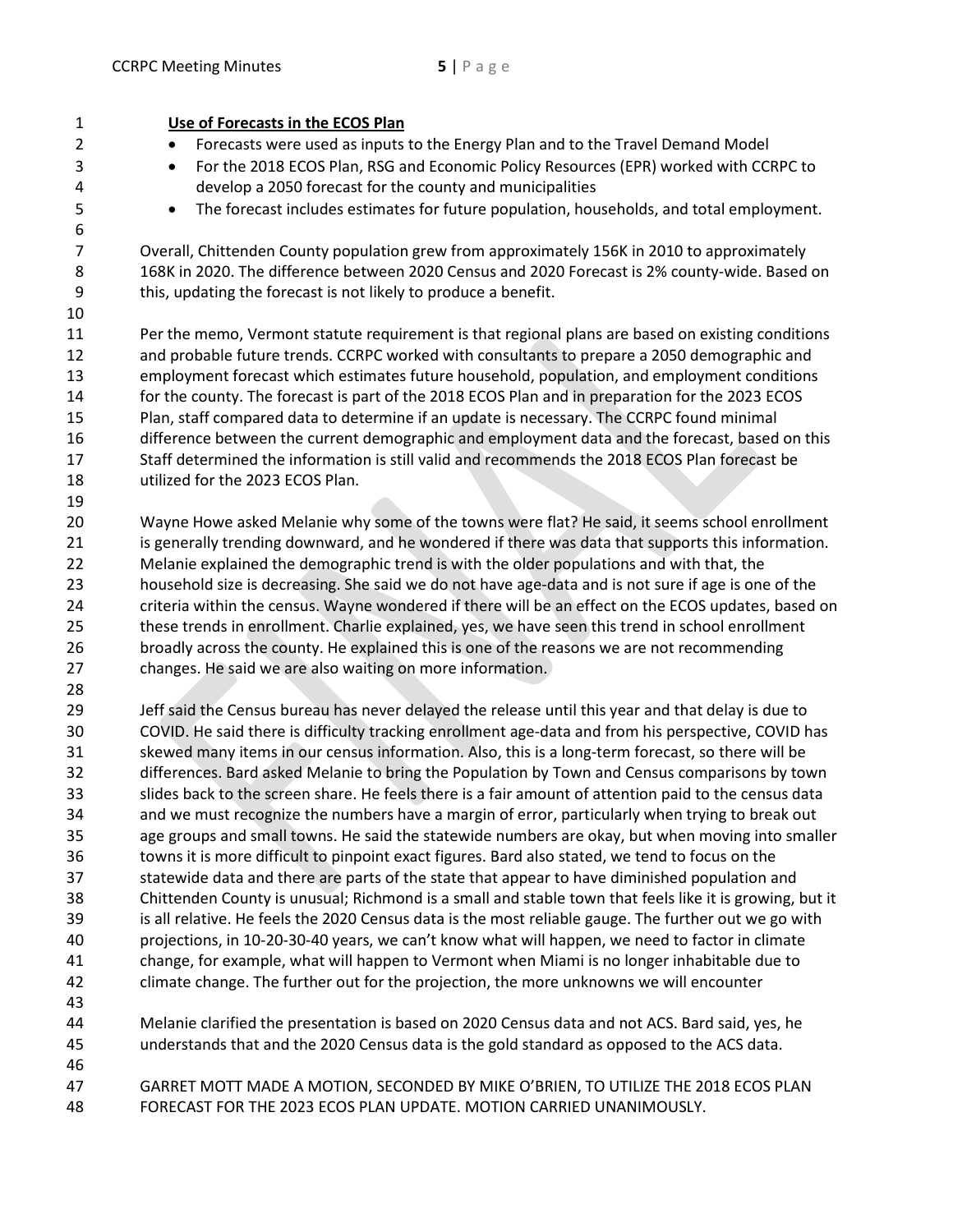| $\mathbf{1}$        | Use of Forecasts in the ECOS Plan                                                                       |
|---------------------|---------------------------------------------------------------------------------------------------------|
| $\overline{2}$      | Forecasts were used as inputs to the Energy Plan and to the Travel Demand Model                         |
| 3                   | For the 2018 ECOS Plan, RSG and Economic Policy Resources (EPR) worked with CCRPC to<br>$\bullet$       |
| 4                   | develop a 2050 forecast for the county and municipalities                                               |
| 5                   | The forecast includes estimates for future population, households, and total employment.<br>$\bullet$   |
| 6<br>$\overline{7}$ | Overall, Chittenden County population grew from approximately 156K in 2010 to approximately             |
| 8                   | 168K in 2020. The difference between 2020 Census and 2020 Forecast is 2% county-wide. Based on          |
| 9                   | this, updating the forecast is not likely to produce a benefit.                                         |
| 10                  |                                                                                                         |
|                     |                                                                                                         |
| 11                  | Per the memo, Vermont statute requirement is that regional plans are based on existing conditions       |
| 12                  | and probable future trends. CCRPC worked with consultants to prepare a 2050 demographic and             |
| 13                  | employment forecast which estimates future household, population, and employment conditions             |
| 14                  | for the county. The forecast is part of the 2018 ECOS Plan and in preparation for the 2023 ECOS         |
| 15                  | Plan, staff compared data to determine if an update is necessary. The CCRPC found minimal               |
| 16                  | difference between the current demographic and employment data and the forecast, based on this          |
| 17                  | Staff determined the information is still valid and recommends the 2018 ECOS Plan forecast be           |
| 18                  | utilized for the 2023 ECOS Plan.                                                                        |
| 19                  |                                                                                                         |
| 20                  | Wayne Howe asked Melanie why some of the towns were flat? He said, it seems school enrollment           |
| 21                  | is generally trending downward, and he wondered if there was data that supports this information.       |
| 22                  | Melanie explained the demographic trend is with the older populations and with that, the                |
| 23                  | household size is decreasing. She said we do not have age-data and is not sure if age is one of the     |
| 24                  | criteria within the census. Wayne wondered if there will be an effect on the ECOS updates, based on     |
| 25                  | these trends in enrollment. Charlie explained, yes, we have seen this trend in school enrollment        |
| 26                  | broadly across the county. He explained this is one of the reasons we are not recommending              |
| 27                  | changes. He said we are also waiting on more information.                                               |
| 28                  |                                                                                                         |
| 29                  | Jeff said the Census bureau has never delayed the release until this year and that delay is due to      |
| 30                  | COVID. He said there is difficulty tracking enrollment age-data and from his perspective, COVID has     |
| 31                  | skewed many items in our census information. Also, this is a long-term forecast, so there will be       |
| 32                  | differences. Bard asked Melanie to bring the Population by Town and Census comparisons by town          |
| 33                  | slides back to the screen share. He feels there is a fair amount of attention paid to the census data   |
| 34                  | and we must recognize the numbers have a margin of error, particularly when trying to break out         |
| 35                  | age groups and small towns. He said the statewide numbers are okay, but when moving into smaller        |
| 36                  | towns it is more difficult to pinpoint exact figures. Bard also stated, we tend to focus on the         |
| 37                  | statewide data and there are parts of the state that appear to have diminished population and           |
| 38                  | Chittenden County is unusual; Richmond is a small and stable town that feels like it is growing, but it |
| 39                  | is all relative. He feels the 2020 Census data is the most reliable gauge. The further out we go with   |
| 40                  | projections, in 10-20-30-40 years, we can't know what will happen, we need to factor in climate         |
| 41                  | change, for example, what will happen to Vermont when Miami is no longer inhabitable due to             |
| 42                  | climate change. The further out for the projection, the more unknowns we will encounter                 |
| 43                  |                                                                                                         |
| 44                  | Melanie clarified the presentation is based on 2020 Census data and not ACS. Bard said, yes, he         |
| 45                  | understands that and the 2020 Census data is the gold standard as opposed to the ACS data.              |
| 46                  |                                                                                                         |
| 47                  | GARRET MOTT MADE A MOTION, SECONDED BY MIKE O'BRIEN, TO UTILIZE THE 2018 ECOS PLAN                      |
|                     |                                                                                                         |
| 48                  | FORECAST FOR THE 2023 ECOS PLAN UPDATE. MOTION CARRIED UNANIMOUSLY.                                     |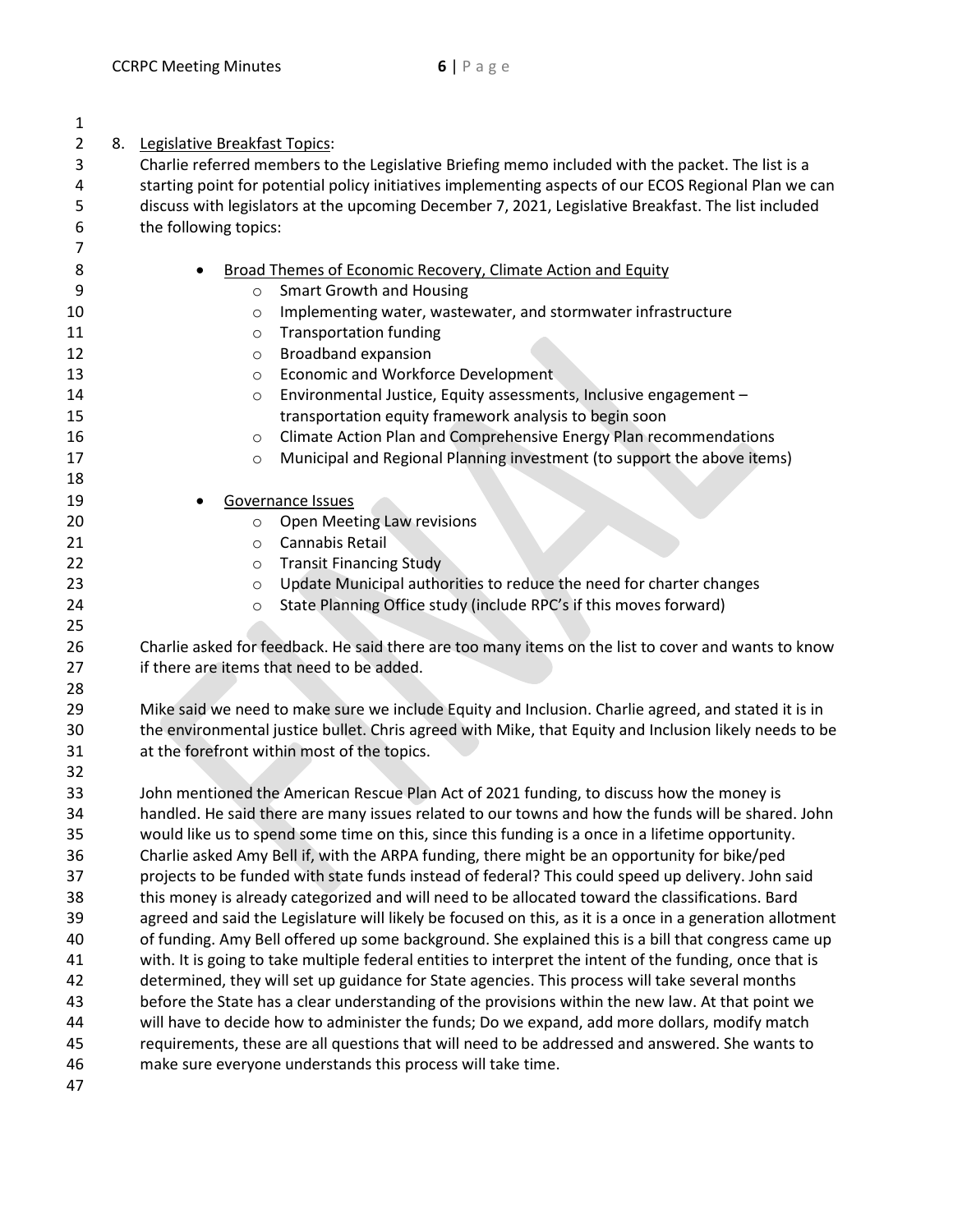| 1        |                                                                                                                                                                                                      |  |  |  |  |
|----------|------------------------------------------------------------------------------------------------------------------------------------------------------------------------------------------------------|--|--|--|--|
| 2        | 8. Legislative Breakfast Topics:                                                                                                                                                                     |  |  |  |  |
| 3        | Charlie referred members to the Legislative Briefing memo included with the packet. The list is a                                                                                                    |  |  |  |  |
| 4        | starting point for potential policy initiatives implementing aspects of our ECOS Regional Plan we can                                                                                                |  |  |  |  |
| 5        | discuss with legislators at the upcoming December 7, 2021, Legislative Breakfast. The list included                                                                                                  |  |  |  |  |
| 6        | the following topics:                                                                                                                                                                                |  |  |  |  |
| 7        |                                                                                                                                                                                                      |  |  |  |  |
| 8        | Broad Themes of Economic Recovery, Climate Action and Equity                                                                                                                                         |  |  |  |  |
| 9        | <b>Smart Growth and Housing</b><br>$\circ$                                                                                                                                                           |  |  |  |  |
| 10       | Implementing water, wastewater, and stormwater infrastructure<br>O                                                                                                                                   |  |  |  |  |
| 11       | <b>Transportation funding</b><br>O                                                                                                                                                                   |  |  |  |  |
| 12       | Broadband expansion<br>O                                                                                                                                                                             |  |  |  |  |
| 13       | <b>Economic and Workforce Development</b><br>$\circ$                                                                                                                                                 |  |  |  |  |
| 14       | Environmental Justice, Equity assessments, Inclusive engagement -<br>$\circ$                                                                                                                         |  |  |  |  |
| 15       | transportation equity framework analysis to begin soon                                                                                                                                               |  |  |  |  |
| 16       | Climate Action Plan and Comprehensive Energy Plan recommendations<br>$\circ$                                                                                                                         |  |  |  |  |
| 17       | Municipal and Regional Planning investment (to support the above items)<br>$\circ$                                                                                                                   |  |  |  |  |
| 18       |                                                                                                                                                                                                      |  |  |  |  |
| 19       | Governance Issues                                                                                                                                                                                    |  |  |  |  |
| 20       | Open Meeting Law revisions<br>$\circ$                                                                                                                                                                |  |  |  |  |
| 21       | Cannabis Retail<br>O                                                                                                                                                                                 |  |  |  |  |
| 22       | <b>Transit Financing Study</b><br>O                                                                                                                                                                  |  |  |  |  |
| 23       | Update Municipal authorities to reduce the need for charter changes<br>$\circ$                                                                                                                       |  |  |  |  |
| 24       | State Planning Office study (include RPC's if this moves forward)<br>$\circ$                                                                                                                         |  |  |  |  |
| 25       |                                                                                                                                                                                                      |  |  |  |  |
| 26       | Charlie asked for feedback. He said there are too many items on the list to cover and wants to know                                                                                                  |  |  |  |  |
| 27       | if there are items that need to be added.                                                                                                                                                            |  |  |  |  |
| 28       |                                                                                                                                                                                                      |  |  |  |  |
| 29       | Mike said we need to make sure we include Equity and Inclusion. Charlie agreed, and stated it is in                                                                                                  |  |  |  |  |
| 30       | the environmental justice bullet. Chris agreed with Mike, that Equity and Inclusion likely needs to be                                                                                               |  |  |  |  |
| 31       | at the forefront within most of the topics.                                                                                                                                                          |  |  |  |  |
| 32       |                                                                                                                                                                                                      |  |  |  |  |
| 33<br>34 | John mentioned the American Rescue Plan Act of 2021 funding, to discuss how the money is<br>handled. He said there are many issues related to our towns and how the funds will be shared. John       |  |  |  |  |
| 35       | would like us to spend some time on this, since this funding is a once in a lifetime opportunity.                                                                                                    |  |  |  |  |
| 36       |                                                                                                                                                                                                      |  |  |  |  |
| 37       | Charlie asked Amy Bell if, with the ARPA funding, there might be an opportunity for bike/ped<br>projects to be funded with state funds instead of federal? This could speed up delivery. John said   |  |  |  |  |
| 38       | this money is already categorized and will need to be allocated toward the classifications. Bard                                                                                                     |  |  |  |  |
| 39       |                                                                                                                                                                                                      |  |  |  |  |
| 40       | agreed and said the Legislature will likely be focused on this, as it is a once in a generation allotment                                                                                            |  |  |  |  |
| 41       | of funding. Amy Bell offered up some background. She explained this is a bill that congress came up                                                                                                  |  |  |  |  |
| 42       | with. It is going to take multiple federal entities to interpret the intent of the funding, once that is                                                                                             |  |  |  |  |
| 43       | determined, they will set up guidance for State agencies. This process will take several months<br>before the State has a clear understanding of the provisions within the new law. At that point we |  |  |  |  |
| 44       | will have to decide how to administer the funds; Do we expand, add more dollars, modify match                                                                                                        |  |  |  |  |
| 45       | requirements, these are all questions that will need to be addressed and answered. She wants to                                                                                                      |  |  |  |  |
| 46       | make sure everyone understands this process will take time.                                                                                                                                          |  |  |  |  |
|          |                                                                                                                                                                                                      |  |  |  |  |

47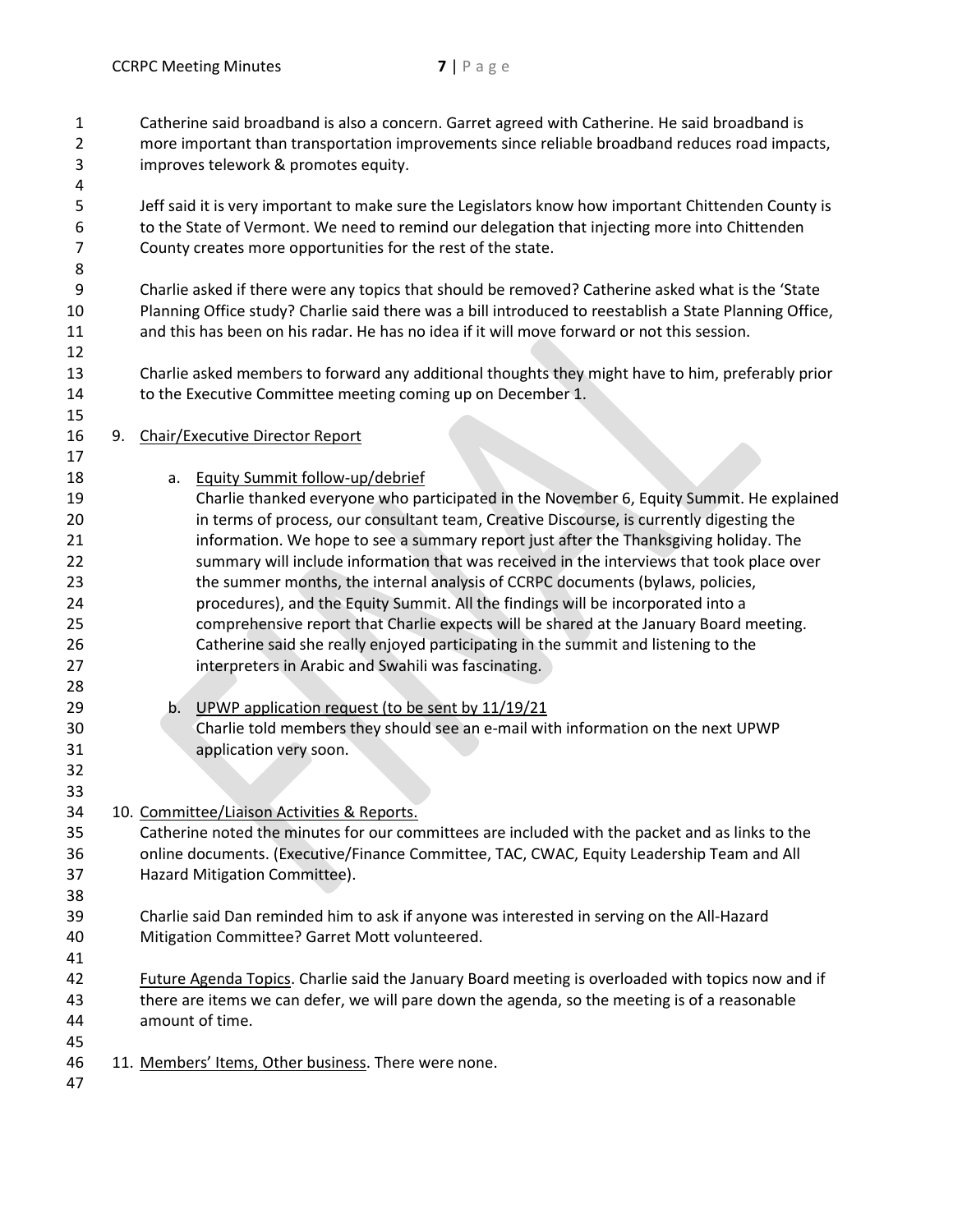| 1<br>2<br>3    |    | Catherine said broadband is also a concern. Garret agreed with Catherine. He said broadband is<br>more important than transportation improvements since reliable broadband reduces road impacts,<br>improves telework & promotes equity. |
|----------------|----|------------------------------------------------------------------------------------------------------------------------------------------------------------------------------------------------------------------------------------------|
| 4              |    |                                                                                                                                                                                                                                          |
| 5              |    | Jeff said it is very important to make sure the Legislators know how important Chittenden County is                                                                                                                                      |
| 6              |    | to the State of Vermont. We need to remind our delegation that injecting more into Chittenden                                                                                                                                            |
| 7              |    | County creates more opportunities for the rest of the state.                                                                                                                                                                             |
| 8              |    |                                                                                                                                                                                                                                          |
| 9              |    | Charlie asked if there were any topics that should be removed? Catherine asked what is the 'State                                                                                                                                        |
| 10             |    | Planning Office study? Charlie said there was a bill introduced to reestablish a State Planning Office,                                                                                                                                  |
| 11             |    | and this has been on his radar. He has no idea if it will move forward or not this session.                                                                                                                                              |
| 12<br>13<br>14 |    | Charlie asked members to forward any additional thoughts they might have to him, preferably prior<br>to the Executive Committee meeting coming up on December 1.                                                                         |
| 15             |    |                                                                                                                                                                                                                                          |
| 16             | 9. | <b>Chair/Executive Director Report</b>                                                                                                                                                                                                   |
| 17             |    |                                                                                                                                                                                                                                          |
| 18             |    | Equity Summit follow-up/debrief<br>a.                                                                                                                                                                                                    |
| 19             |    | Charlie thanked everyone who participated in the November 6, Equity Summit. He explained                                                                                                                                                 |
| 20             |    | in terms of process, our consultant team, Creative Discourse, is currently digesting the                                                                                                                                                 |
| 21             |    | information. We hope to see a summary report just after the Thanksgiving holiday. The                                                                                                                                                    |
| 22             |    | summary will include information that was received in the interviews that took place over                                                                                                                                                |
| 23             |    | the summer months, the internal analysis of CCRPC documents (bylaws, policies,                                                                                                                                                           |
| 24             |    | procedures), and the Equity Summit. All the findings will be incorporated into a                                                                                                                                                         |
| 25             |    | comprehensive report that Charlie expects will be shared at the January Board meeting.                                                                                                                                                   |
| 26             |    | Catherine said she really enjoyed participating in the summit and listening to the                                                                                                                                                       |
| 27             |    | interpreters in Arabic and Swahili was fascinating.                                                                                                                                                                                      |
| 28             |    |                                                                                                                                                                                                                                          |
| 29             |    | UPWP application request (to be sent by 11/19/21<br>b.                                                                                                                                                                                   |
| 30             |    | Charlie told members they should see an e-mail with information on the next UPWP                                                                                                                                                         |
| 31             |    | application very soon.                                                                                                                                                                                                                   |
| 32             |    |                                                                                                                                                                                                                                          |
| 33             |    |                                                                                                                                                                                                                                          |
| 34             |    | 10. Committee/Liaison Activities & Reports.                                                                                                                                                                                              |
| 35             |    | Catherine noted the minutes for our committees are included with the packet and as links to the                                                                                                                                          |
| 36             |    | online documents. (Executive/Finance Committee, TAC, CWAC, Equity Leadership Team and All                                                                                                                                                |
| 37             |    | Hazard Mitigation Committee).                                                                                                                                                                                                            |
| 38             |    |                                                                                                                                                                                                                                          |
| 39             |    | Charlie said Dan reminded him to ask if anyone was interested in serving on the All-Hazard                                                                                                                                               |
| 40             |    | Mitigation Committee? Garret Mott volunteered.                                                                                                                                                                                           |
| 41             |    |                                                                                                                                                                                                                                          |
| 42             |    | Future Agenda Topics. Charlie said the January Board meeting is overloaded with topics now and if                                                                                                                                        |
| 43             |    | there are items we can defer, we will pare down the agenda, so the meeting is of a reasonable                                                                                                                                            |
| 44             |    | amount of time.                                                                                                                                                                                                                          |
| 45             |    |                                                                                                                                                                                                                                          |
| 46             |    | 11. Members' Items, Other business. There were none.                                                                                                                                                                                     |
| 47             |    |                                                                                                                                                                                                                                          |